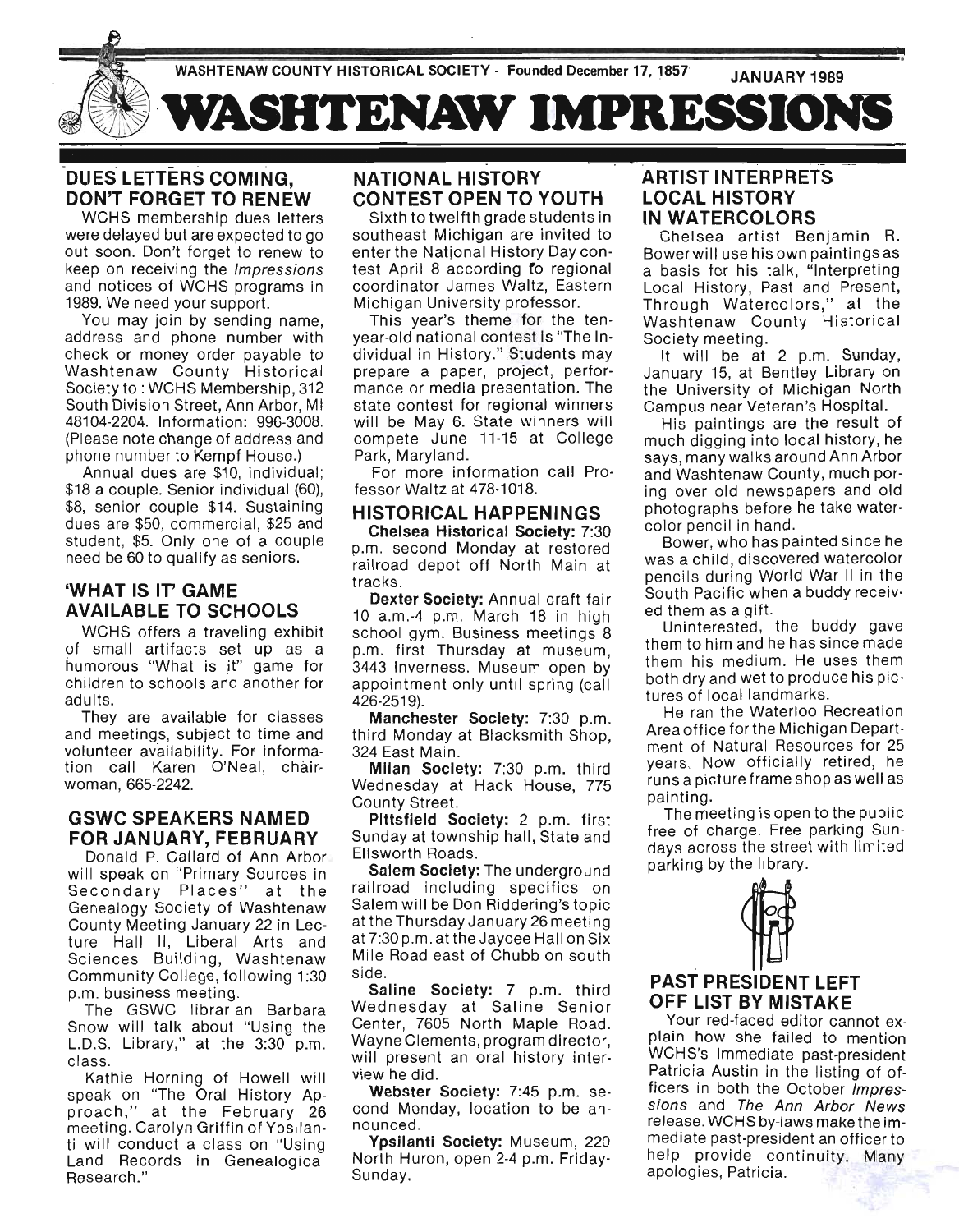

# **DUES LETTERS COMING, DON'T FORGET TO RENEW**

WCHS membership dues letters were delayed but are expected to go out soon. Don't forget to renew to keep on receiving the Impressions and notices of WCHS programs in 1989. We need your support.

You may join by sending name, address and phone number with check or money order payable to Washtenaw County Historical Society to: WCHS Membership, 312 South Division Street, Ann Arbor, MI 48104-2204. Information: 996-3008. (Please note change of address and phone number to Kempf House.)

Annual dues are \$10, individual: \$18 a couple. Senior individual (60), \$8, senior couple \$14. Sustaining dues are \$50, commercial, \$25 and student, \$5. Only one of a couple need be 60 to qualify as seniors.

# **'WHAT IS IT' GAME AVAILABLE TO SCHOOLS**

WCHS offers a traveling exhibit of small artifacts set up as a humorous "What is it" game for children to schools and another for adults.

They are available for classes and meetings, subject to time and volunteer availability. For information call Karen O'Neal, chairwoman, 665-2242.

# **GSWC SPEAKERS NAMED**  FOR JANUARY, FEBRUARY

Donald P. Callard of Ann Arbor will speak on "Primary Sources in Secondary Places" at the Genealogy Society of Washtenaw County Meeting January 22 in Lecture Hall II, Liberal Arts and Sciences Building, Washtenaw Community College, following 1:30 p.m. business meeting.

The GSWC librarian Barbara Snow will talk about "Using the L.D.S. Library," at the 3:30 p.m. class.

Kathie Horning of Howell will speak on "The Oral History Approach," at the February 26 meeting. Carolyn Griffin of Ypsilanti will conduct a class on "Using Land Records in Genealogical Research ."

# **NATIONAL HISTORY CONTEST OPEN TO YOUTH**

Sixth to twelfth grade students in southeast Michigan are invited to enter the National History Day contest April 8 according fo regional coordinator James Waltz, Eastern Michigan University professor.

This year's theme for the tenyear-old national contest is "The Individual in History." Students may prepare a paper, project, performance or media presentation. The state contest for regional winners will be May 6. State winners will compete June 11-15 at College Park, Maryland.

For more information call Professor Waltz at 478-1018.

# **HISTORICAL HAPPENINGS**

**Chelsea Historical Society:** 7:30 p.m. second Monday at restored railroad depot off North Main at tracks.

**Dexter Society: Annual craft fair** 10 a.m.-4 p.m. March 18 in high school gym. Business meetings 8 p.m. first Thursday at museum, 3443 Inverness. Museum open by appointment only until spring (call 426-2519).

**Manchester Society:** 7:30 p.m. third Monday at Blacksmith Shop, 324 East Main.

**Milan Society: 7:30 p.m. third** Wednesday at Hack House, 775 County Street.

**Pittsfield SOCiety:** 2 p.m. first Sunday at township hall, State and Ellsworth Roads.

**Salem Society:** The underground railroad including specifics on Salem will be Don Riddering's topic at the Thursday January 26 meeting at 7:30 p.m. at the Jaycee Hall on Six Mile Road east of Chubb on south side.

**Saline Society:** 7 p.m. third Wednesday at Saline Senior Center, 7605 North Maple Road. Wayne Clements, program director, will present an oral history interview he did.

**Webster SOCiety:** 7:45 p.m. second Monday, location to be announced.

**Ypsilanti Society:** Museum, 220 North Huron, open 2-4 p.m. Friday-Sunday.

# **ARTIST INTERPRETS LOCAL HISTORY IN WATERCOLORS**

Chelsea artist Benjamin R. Bower will use his own paintings as a basis for his talk, "Interpreting Local History, Past and Present, Through Watercolors," at the Washtenaw County Historical Society meeting.

. -

It will be at 2 p.m. Sunday, January 15, at Bentley Library on the University of Michigan North Campus near Veteran's Hospital.

His paintings are the result of much digging into local history, he says, many walks around Ann Arbor and Washtenaw County, much poring over old newspapers and old photographs before he take watercolor pencil in hand.

Bower, who has painted since he was a child, discovered watercolor pencils during World War II in the South Pacific when a buddy received them as a gift.

Uninterested, the buddy gave them to him and he has since made them his medium. He uses them both dry and wet to produce his pictures of local landmarks.

He ran the Waterloo Recreation Area office for the Michigan Department of Natural Resources for 25 years. Now officially retired, he runs a picture frame shop as well as painting.

The meeting is open to the public free of charge. Free parking Sundays across the street with limited parking by the library.



# **OFF LIST BY MISTAKE**

Your red-faced editor cannot explain how she failed to mention WCHS's immediate past-president Patricia Austin in the listing of officers in both the October Impressions and The Ann Arbor News release. WCHS by-laws make the immediate past-president an officer to help provide continuity. Many apologies, Patricia.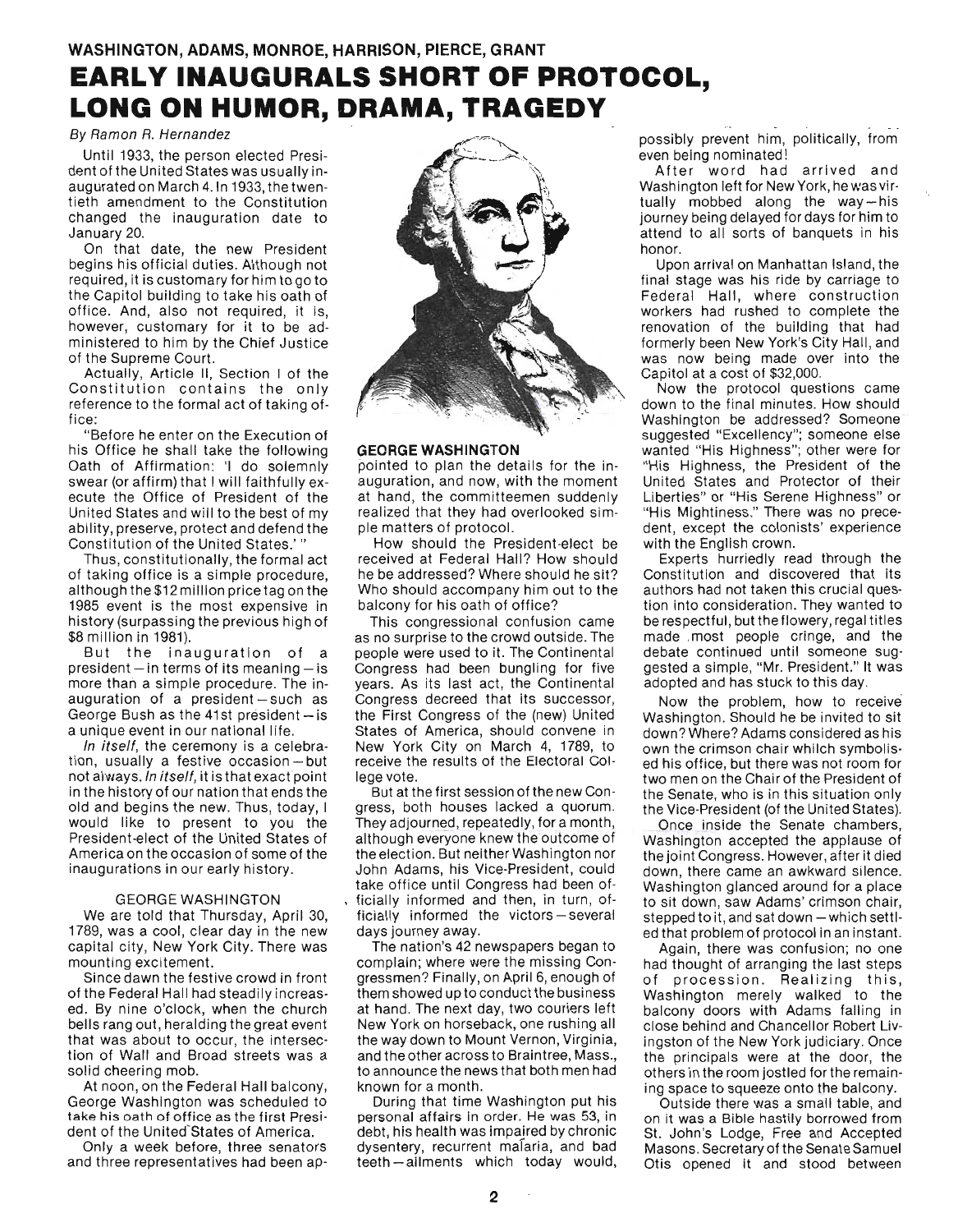# **EARLY INAUGURALS SHORT OF PROTOCOL, LONG ON HUMOR, DRAMA, TRAGEDY**

#### By Ramon R. Hernandez

Until 1933, the person elected President of the United States was usually inaugurated on March 4. ln 1933, the twentieth amendment to the Constitution changed the inauguration date to January 20.

On that date, the new President begins his official duties. Although not required , it is customary for him to go to the Capitol building to take his oath of office. And, also not required, it is, however, customary for it to be administered to him by the Chief Justice of the Supreme Court.

Actually, Article II, Section I of the Constitution contains the only reference to the formal act of taking office:

"Before he enter on the Execution of his Office he shall take the following Oath of Affirmation: 'I do solemnly swear (or affirm) that I will faithfully execute the Office of President of the United States and will to the best of my ability, preserve, protect and defend the Constitution of the United States.'

Thus, constitutionally, the formal act of taking office is a simple procedure, although the \$12 million price tag on the 1985 event is the most expensive in history (surpassing the previous high of \$8 million in 1981).

But the inauguration of a president  $-$  in terms of its meaning  $-$  is more than a simple procedure. The inauguration of a president-such as George Bush as the 41st president $-$  is a unique event in our national life.

In itself, the ceremony is a celebration, usually a festive occasion $-$  but not always. In itself, it is that exact point in the history of our nation that ends the old and begins the new. Thus, today, I would like to present to you the President-elect of the United States of America on the occasion of some of the inaugurations in our early history.

#### GEORGE WASHINGTON

We are told that Thursday, April 30, 1789, was a cool, clear day in the new capital city, New York City. There was mounting excitement.

Since dawn the festive crowd in front of the Federal Hall had steadily increased. By nine o'clock, when the church bells rang out, heralding the great event that was about to occur, the intersection of Wall and Broad streets was a solid cheering mob.

At noon, on the Federal Hall balcony, George Washington was scheduled to take his oath of office as the first President of the United States of America.

Only a week before, three senators and three representatives had been ap-



#### **GEORGE WASHINGTON**

pointed to plan the details for the inauguration , and now, with the moment at hand, the committeemen suddenly realized that they had overlooked simple matters of protocol.

How should the President-elect be received at Federal Hall? How should he be addressed? Where should he sit? Who should accompany him out to the balcony for his oath of office?

This congressional confusion came as no surprise to the crowd outside. The people were used to it. The Continental Congress had been bungling for five years. As its last act, the Continental Congress decreed that its successor, the First Congress of the (new) United States of America, should convene in New York City on March 4, 1789, to receive the results of the Electoral College vote.

But at the first session of the new Congress, both houses lacked a quorum. They adjourned, repeatedly, for a month, although everyone knew the outcome of the election. But neither Washington nor John Adams, his Vice-President, could take office until Congress had been of ficially informed and then, in turn, officially informed the victors-several days journey away.

The nation's 42 newspapers began to complain; where were the missing Congressmen? Finally, on April 6, enough of them showed up to conduct the business at hand. The next day, two couriers left New York on horseback, one rushing all the way down to Mount Vernon, Virginia, and the other across to Braintree, Mass., to announce the news that both men had known for a month.

During that time Washington put his personal affairs in order. He was 53, in debt, his health was impaired by chronic dysentery, recurrent malaria, and bad teeth-ailments which today would, possibly prevent him, politically, from even being nominated!

After word had arrived and Washington left for New York, he was virtually mobbed along the way-his journey being delayed for days for him to attend to all sorts of banquets in his honor.

Upon arrival on Manhattan Island, the final stage was his ride by carriage to Federal Hall, where construction workers had rushed to complete the renovation of the building that had formerly been New York's City Hall, and was now being made over into the Capitol at a cost of \$32,000.

Now the protocol questions came down to the final minutes. How should Washington be addressed? Someone suggested "Excellency"; someone else uggested "Exectione"; someone clas<br>uanted "His Highness"; other were for "His Highness, the President of the United States and Protector of their Liberties" or "His Serene Highness" or "His Mightiness." There was no precedent, except the colonists' experience with the English crown.

Experts hurriedly read through the Constitution and discovered that its authors had not taken this crucial question into consideration. They wanted to be respectful , but the flowery, regal titles made ,most people cringe, and the debate continued until someone suggested a Simple, "Mr. President." It was adopted and has stuck to this day.

Now the problem, how to receive' Washington. Should he be invited to sit down? Where? Adams considered as his own the crimson chair whilch symbolised his office, but there was not room for two men on the Chair of the President of the Senate, who is in this situation only the Vice-President (of the United States).

Once inside the Senate chambers, Washington accepted the applause of the joint Congress. However, after it died down, there came an awkward silence. Washington glanced around for a place to sit down, saw Adams' crimson chair, stepped to it, and sat down  $-$  which settled that problem of protocol in an instant.

Again, there was confusion; no one had thought of arranging the last steps of procession. Realizing this, Washington merely walked to the balcony doors with Adams falling in close behind and Chancellor Robert livingston of the New York judiciary. Once the principals were at the door, the others in the room jostled for the remaining space to squeeze onto the balcony.

Outside there was a small table, and on it was a Bible hastily borrowed from St. John's Lodge, Free and Accepted Masons. Secretary of the Senate Samuel Otis opened it and stood between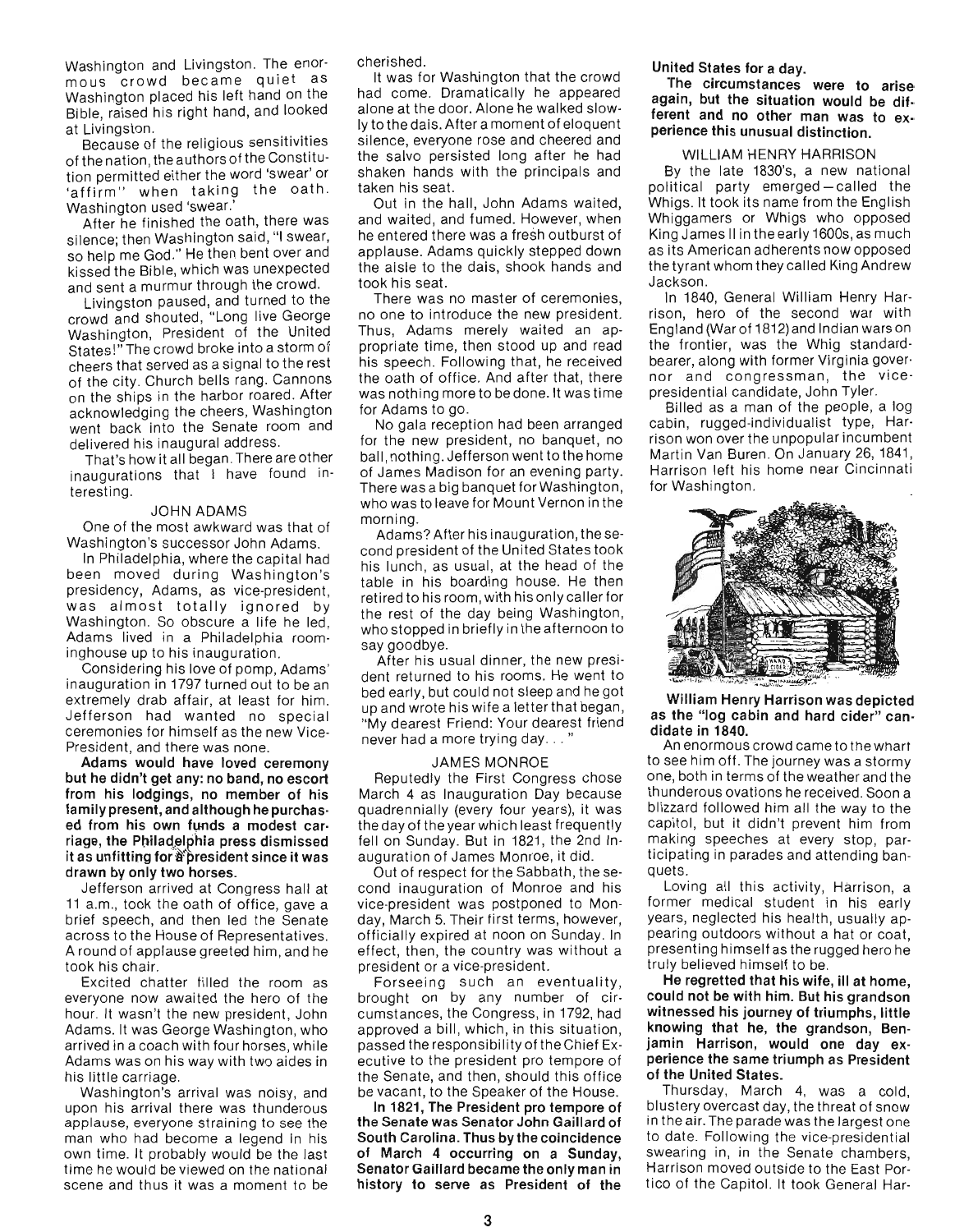Washington and Livingston. The enormous crowd became quiet as Washington placed his left hand on the Bible, raised his right hand, and looked at Livingston.

Because of the religious sensitivities of the nation, the authors of the Constitution permitted either the word 'swear' or 'affirm" when taking the oath. Washington used 'swear.'

After he finished the oath, there was silence; then Washington said, "I swear, so help me God." He then bent over and kissed the Bible, which was unexpected and sent a murmur through the crowd.

Livingston paused, and turned to the crowd and shouted, "Long live George Washington, President of the United States!" The crowd broke into a storm of cheers that served as a signal to the rest of the city. Church bells rang. Cannons on the ships in the harbor roared. After acknowledging the cheers, Washington went back into the Senate room and delivered his inaugural address.

That's how it all began. There are other inaugurations that I have found interesting.

#### JOHN ADAMS

One of the most awkward was that of Washington's successor John Adams.

In Philadelphia, where the capital had been moved during Washington's presidency, Adams, as vice-president, was almost totally ignored by Washington. So obscure a life he led, Adams lived in a Philadelphia roominghouse up to his inauguration.

Considering his love of pomp, Adams' inauguration in 1797 turned out to be an extremely drab affair, at least for him. Jefferson had wanted no special ceremonies for himself as the new Vice-President, and there was none.

Adams would have loved ceremony but he didn't get any: no band, no escort from his lodgings, no member of his family present, and although he purchased from his own funds a modest carriage, the Philadelphia press dismissed it as unfitting for a president since it was drawn by only two horses\_

Jefferson arrived at Congress hall at' 11 a.m., took the oath of office, gave a brief speech, and then led the Senate across to the House of Representatives. A round of applause greeted him, and he took his chair.

Excited chatter filled the room as everyone now awaited the hero of the hour. It wasn 't the new president, John Adams. It was George Washington, who arrived in a coach with four horses, while Adams was on his way with two aides in his little carriage.

Washington's arrival was noisy, and upon his arrival there was thunderous applause, everyone straining to see the man who had become a legend in his own time. It probably would be the last time he would be viewed on the national scene and thus it was a moment to be

cherished.

It was for Washington that the crowd had come. Dramatically he appeared alone at the door. Alone he walked slowly to the dais. After a moment of eloquent silence, everyone rose and cheered and the salvo persisted long after he had shaken hands with the principals and taken his seat.

Out in the hall, John Adams waited, and waited, and fumed. However, when he entered there was a fresh outburst of applause. Adams quickly stepped down the aisle to the dais, shook hands and took his seat.

There was no master of ceremonies, no one to introduce the new president. Thus, Adams merely waited an appropriate time, then stood up and read his speech. Following that, he received the oath of office. And after that, there was nothing more to be done. It was time for Adams to go.

No gala reception had been arranged for the new president, no banquet, no ball , nothing. Jefferson went to the home of James Madison for an evening party. There was a big banquet for Washington, who was to leave for Mount Vernon in the morning.

Adams? After his inauguration, the second president of the United States took his lunch, as usual, at the head of the table in his boarding house. He then retired to his room, with his only caller for the rest of the day being Washington, who stopped in briefly in the afternoon to say goodbye.

After his usual dinner, the new president returned to his rooms. He went to bed early, but could not sleep and he got up and wrote his wife a letter that began, "My dearest Friend: Your dearest friend never had a more trying day...

#### JAMES MONROE

Reputedly the First Congress chose March 4 as Inauguration Day because quadrennially (every four years), it was the day of the year which least frequently fell on Sunday. But in 1821, the 2nd Inauguration of James Monroe, it did.

Out of respect for the Sabbath, the second inauguration of Monroe and his vice-president was postponed to Monday, March 5. Their first terms , however, officially expired at noon on Sunday. In effect, then, the country was without a president or a vice-president.

Forseeing such an eventuality, brought on by any number of circumstances, the Congress, in 1792, had ' approved a bill, which, in this situation. passed the responsibility of the Chief Executive to the president pro tempore of the Senate, and then, should this office be vacant, to the Speaker of the House.

In 1821, The President pro tempore of the Senate was Senator John Gaillard of South Carolina. Thus by the coincidence of March 4 occurring on a Sunday, Senator Gaillard became the only man in history to serve as President of the United States for a day.

The circumstances were to arise again, but the situation would be different and no other man was to experience this unusual distinction.

# WILLIAM HENRY HARRISON

By the late 1830's, a new national political party emerged-called the Whigs. It took its name from the English Whiggamers or Whigs who opposed King James II in the early 1600s, as much as its American adherents now opposed the tyrant whom they called King Andrew Jackson.

In 1840, General William Henry Harrison, hero of the second war with England (War of 1812)and Indian wars on the frontier, was the Whig standardbearer, along with former Virginia governor and congressman, the vicepresidential candidate, John Tyler.

Billed as a man of the people, a log cabin, rugged-individualist type, Harrison won over the unpopular incumbent Martin Van Buren. On January 26, 1841 , Harrison left his home near Cincinnati for Washington.



William Henry Harrison was depicted as the "log cabin and hard cider" can· didate in 1840.

An enormous crowd came to the whart to see him off. The journey was a stormy one, both in terms of the weather and the thunderous ovations he received. Soon a blizzard followed him all the way to the capitol, but it didn't prevent him from making speeches at every stop, participating in parades and attending banquets.

Loving all this activity, Harrison, a former medical student in his early years, neglected his health, usually appearing outdoors without a hat or coat, presenting himself as the rugged hero he truly believed himself to be.

He regretted that his wife, ill at home, could not be with him. But his grandson witnessed his journey of triumphs, little knowing that he, the grandson, Benjamin Harrison, would one day experience the same triumph as President of the United States.

Thursday, March 4, was a cold, blustery overcast day, the threat of snow in the air. The parade was the largest one to date. Following the vice-presidential swearing in, in the Senate chambers, Harrison moved outside to the East Portico of the Capitol. It took General Har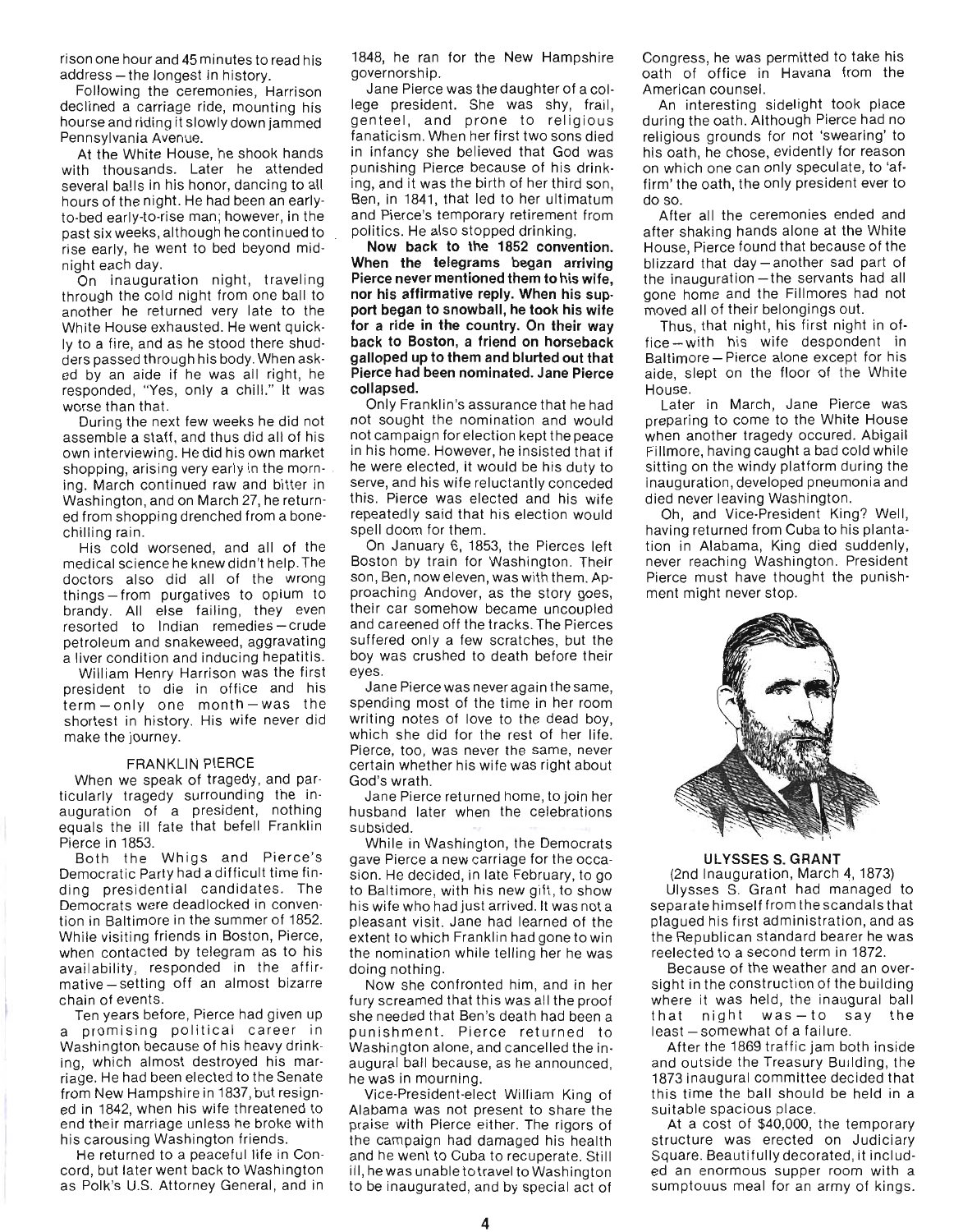rison one hour and 45 minutes to read his address - the longest in history.

Following the ceremonies, Harrison declined a carriage ride, mounting his hourse and riding it slowly down jammed Pennsylvania Avenue.

At the White House, he shook hands with thousands. Later he attended several balls in his honor, dancing to all hours of the night. He had been an earlyto-bed early-to-rise man; however, in the past six weeks, although he continued to rise early, he went to bed beyond midnight each day.

On inauguration night, traveling through the cold night from one ball to another he returned very late to the White House exhausted. He went quickly to a fire, and as he stood there shudders passed through his body. When asked by an aide if he was all right, he responded, "Yes, only a chill." It was worse than that.

During the next few weeks he did not assemble a staff, and thus did all of his own interviewing. He did his own market shopping, arising very early in the morning. March continued raw and bitter in Washington, and on March 27, he returned from shopping drenched from a bonechilling rain .

His cold worsened, and all of the medical science he knew didn't help. The doctors also did all of the wrong things - from purgatives to opium to brandy. All else failing, they even resorted to Indian remedies-crude petroleum and snakeweed, aggravating a liver condition and inducing hepatitis.

William Henry Harrison was the first president to die in office and his term-only one month-was the shortest in history. His wife never did make the journey.

#### FRANKLIN PIERCE

When we speak of tragedy, and par· ticularly tragedy surrounding the in· auguration of a president, nothing equals the ill fate that befell Franklin Pierce in 1853.

Both the Whigs and Pierce's Democratic Party had a difficult time finding presidential candidates. The Democrats were deadlocked in convention in Baltimore in the summer of 1852. While visiting friends in Boston, Pierce, when contacted by telegram as to his availability, responded in the affir· mative - setting off an almost bizarre chain of events.

Ten years before, Pierce had given up a promising political career in Washington because of his heavy drinking, which almost destroyed his marriage. He had been elected to the Senate from New Hampshire in 1837, but resigned in 1842, when his wife threatened to end their marriage unless he broke with his carousing Washington friends.

He returned to a peaceful life in Con· cord, but later went back to Washington as Polk's U.S. Attorney General, and in 1848, he ran for the New Hampshire governorship.

Jane Pierce was the daughter of a college president. She was shy, frail, genteel, and prone to religious fanaticism. When her first two sons died in infancy she believed that God was punishing Pierce because of his drinking, and it was the birth of her third son, Ben, in 1841, that led to her ultimatum and Pierce's temporary retirement from politics. He also stopped drinking.

**Now back to the 1852 convention\_ When the telegrams began arriving Pierce never mentioned them to his wife, nor his affirmative reply. When his** sup**port began to snowball, he took his wife for a ride in the country. On their way back to Boston, a friend on horseback galloped up to them and blurted out that Pierce had been nominated\_ Jane Pierce collapsed.** 

Only Franklin's assurance that he had not sought the nomination and would not campaign for election kept the peace in his home. However, he insisted that if he were elected, it would be his duty to serve, and his wife reluctantly conceded this. Pierce was elected and his wife repeatedly said that his election would spell doom for them.

On January 6, 1853, the Pierces left Boston by train for Washington. Their son, Ben, now eleven, was with them. Approaching Andover, as the story goes, their car somehow became uncoupled and careened off the tracks. The Pierces suffered only a few scratches, but the boy was crushed to death before their eyes.

Jane Pierce was never again the same, spending most of the time in her room writing notes of love to the dead boy, which she did for the rest of her life. Pierce, too, was never the same, never certain whether his wife was right about God's wrath.

Jane Pierce returned home, to join her husband later when the celebrations subsided.

While in Washington, the Democrats gave Pierce a new carriage for the occasion. He decided, in late February, to go to Baltimore, with his new gift, to show his wife who had just arrived. It was not a pleasant visit. Jane had learned of the extent to which Franklin had gone to win the nomination while telling her he was doing nothing.

Now she confronted him, and in her fury screamed that this was all the proof she needed that Ben's death had been a punishment. Pierce returned to Washington alone, and cancelled the inaugural ball because, as he announced, he was in mourning.

Vice-President-elect William King of Alabama was not present to share the praise with Pierce either. The rigors of the campaign had damaged his health and he went to Cuba to recuperate. Still ill, he was unable totravel to Washington to be inaugurated, and by special act of Congress, he was permitted to take his oath of office in Havana from the American counsel.

An interesting sidelight took place during the oath. Although Pierce had no religious grounds for not 'swearing' to his oath, he chose, evidently for reason on which one can only speculate, to 'affirm' the oath, the only president ever to do so.

After all the ceremonies ended and after shaking hands alone at the White House, Pierce found that because of the blizzard that day - another sad part of the inauguration - the servants had all gone home and the Fillmores had not moved all of their belongings out.

Thus, that night, his first night in office-with his wife despondent in Baltimore - Pierce alone except for his aide, slept on the floor of the White House.

Later in March, Jane Pierce was preparing to come to the White House when another tragedy occured. Abigail Fillmore, having caught a bad cold while sitting on the windy platform during the inauguration, developed pneumonia and died never leaving Washington.

Oh, and Vice-President King? Well, having returned from Cuba to his plantation in Alabama, King died suddenly, never reaching Washington. President Pierce must have thought the punishment might never stop.



#### **ULYSSES S. GRANT**

(2nd Inauguration, March 4, 1873) Ulysses S. Grant had managed to separate himself from the scandals that plagued his first administration, and as the Republican standard bearer he was reelected to a second term in 1872.

Because of the weather and an oversight in the construction of the building where it was held, the inaugural ball that night was - to say the least - somewhat of a failure.

After the 1869 traffic jam both inside and outside the Treasury Building, the 1873 inaugural committee decided that this time the ball should be held in a suitable spacious place.

At a cost of \$40,000, the temporary structure was erected on Judiciary Square. Beautifully decorated, it included an enormous supper room with a sumptouus meal for an army of kings.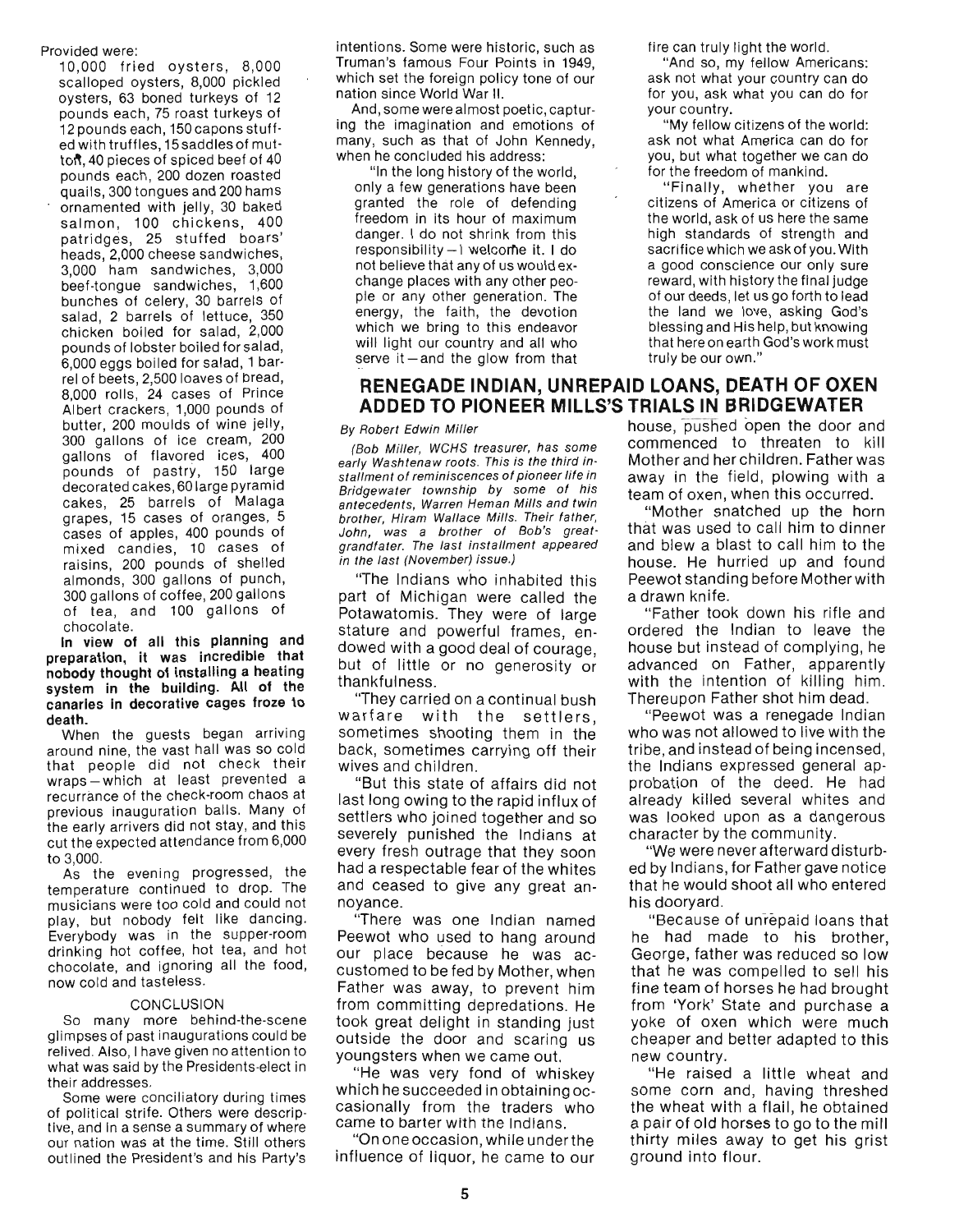#### Provided were:

10,000 fried oysters, 8,000 scalloped oysters, 8,000 pickled oysters, 63 boned turkeys of 12 pounds each, 75 roast turkeys of 12 pounds each, 150 capons stuffed with truffles, 15 saddles of mutton, 40 pieces of spiced beef of 40 pounds each, 200 dozen roasted quails, 300 tongues and 200 hams ornamented with jelly, 30 baked salmon, 100 chickens, 400 pat ridges, 25 stuffed boars' heads, 2,000 cheese sandwiches, 3,000 ham sandwiches, 3,000 beef-tongue sandwiches, 1,600 bunches of celery, 30 barrels of salad, 2 barrels of lettuce, 350 chicken boiled for salad, 2,000 pounds of lobster boiled for salad, 6,000 eggs boiled for salad, 1 barrel of beets, 2,500 loaves of bread, 8,000 rolls, 24 cases of Prince Albert crackers, 1,000 pounds of butter, 200 moulds of wine jelly, 300 gallons of ice cream, 200 gallons of flavored ices, 400 pounds of pastry, 150 large decorated cakes, 60 large pyramid cakes, 25 barrels of Malaga grapes, 15 cases of oranges, 5 cases of apples, 400 pounds of mi xed candies, 10 cases of raisins, 200 pounds of shelled almonds, 300 gallons of punch, 300 gallons of coffee, 200 gallons of tea, and 100 gallons of chocolate.

In view of all this planning and preparation, it was incredible that nobody thought of installing a heating system in the building. All of the canaries in decorative cages froze to death.

When the guests began arriving around nine, the vast hall was so cold that people did not check their wraps-which at least prevented a recurrance of the check-room chaos at previous inauguration balls. Many of the early arrivers did not stay, and this cut the expected attendance from 6,000 to 3,000.

As the evening progressed, the temperature continued to drop. The musicians were too cold and could not play, but nobody felt like dancing. Everybody was in the supper-room drinking hot coffee, hot *tea,* and hot chocolate, and ignoring all the food, now cold and tasteless.

#### CONCLUSION

So many more behind-the-scene glimpses of past inaugurations could be relived. Also, I have given no attention to what was said by the Presidents-elect in their addresses.

Some were conciliatory during times of political strife. Others were descriptive, and in a sense a summary of where our nation was at the time. Still others outlined the President's and his Party's intentions. Some were historic, such as Truman 's famous Four Points in 1949, which set the foreign policy tone of our nation since World War II.

And, some were almost poetic, capturing the imagination and emotions of many, such as that of John Kennedy, when he concluded his address:

"In the long history of the world, only a few generations have been granted the role of defending freedom in its hour of maximum danger. I do not shrink from this responsibility - I welcome it. I do not believe that any of us would exchange places with any other people or any other generation. The energy, the faith, the devotion which we bring to this endeavor will light our country and all who serve it  $-$  and the glow from that

# **RENEGADE INDIAN, UNREPAID LOANS, DEATH OF OXEN ADDED TO PIONEER MILLS'S TRIALS IN BRIDGEWATER**

#### By Robert Edwin Miller

(Bob Miller, WCHS treasurer, has some early Washtenaw roots. This is the third installment of reminiscences of pioneer life in Bridgewater township by some of his antecedents, Warren Heman Mills and twin brother, Hiram Wallace Mills. Their father, John, was a brother of Bob's greatgrandfater. The last installment appeared in the last (November) issue.)

"The Indians who inhabited this part of Michigan were called the Potawatomis. They were of large stature and powerful frames, endowed with a good deal of courage, but of little or no generosity or thankfulness.

"They carried on a continual bush warfare with the settlers, sometimes shooting them in the back, sometimes carrying off their wives and children.

"But this state of affairs did not last long owing to the rapid influx of settlers who joined together and so severely punished the Indians at every fresh outrage that they soon had a respectable fear of the whites and ceased to give any great annoyance.

"There was one Indian named Peewot who used to hang around our place because he was accustomed to be fed by Mother, when Father was away, to prevent him from committing depredations. He took great delight in standing just outside the door and scaring us youngsters when we came out.

"He was very fond of whiskey which he succeeded in obtaining occasionally from the traders who came to barter with the Indians.

"On one occasion, while under the influence of liquor, he came to our fire can truly light the world.

"And so, my fellow Americans: ask not what your country can do for you, ask what you can do for your country.

"My fellow citizens of the world: ask not what America can do for you, but what together we can do for the freedom of mankind.

"Finally, whether you are citizens of America or citizens of the world, ask of us here the same high standards of strength and sacrifice which we ask of you. With a good conscience our only sure reward, with history the final judge of our deeds, let us go forth to lead the land we love, asking God's blessing and His help, but knowing that here on earth God's work must truly be our own."

house; pusned open the door and commenced to threaten to kill Mother and her children. Father was away in the field, plowing with a team of oxen, when this occurred.

"Mother snatched up the horn that was used to call him to dinner and blew a blast to call him to the house. He hurried up and found Peewot standing before Mother with a drawn knife.

"Father took down his rifle and ordered the Indian to leave the house but instead of complying, he advanced on Father, apparently with the intention of killing him. Thereupon Father shot him dead.

"Peewot was a renegade Indian who was not allowed to live with the tribe, and instead of being incensed, the Indians expressed general approbation of the deed. He had already killed several whites and was looked upon as a dangerous character by the community.

"We were never afterward disturbed by Indians, for Father gave notice that he would shoot all who entered his dooryard.

"Because of unrepaid loans that he had made to his brother, George, father was reduced so low that he was compelled to sell his fine team of horses he had brought from 'York' State and purchase a yoke of oxen which were much cheaper and better adapted to this new country.

"He raised a little wheat and some corn and, having threshed the wheat with a flail, he obtained a pair of old horses to go to the mill thirty miles away to get his grist ground into flour.